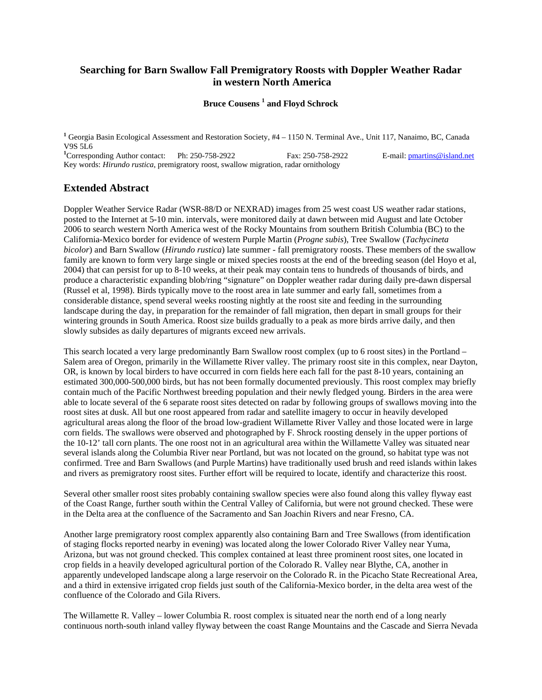# **Searching for Barn Swallow Fall Premigratory Roosts with Doppler Weather Radar in western North America**

### **Bruce Cousens <sup>1</sup> and Floyd Schrock**

**1** Georgia Basin Ecological Assessment and Restoration Society, #4 – 1150 N. Terminal Ave., Unit 117, Nanaimo, BC, Canada V9S 5L6

<sup>1</sup>Corresponding Author contact: Ph: 250-758-2922 Fax: 250-758-2922 E-mail: pmartins@island.net Key words: *Hirundo rustica*, premigratory roost, swallow migration, radar ornithology

### **Extended Abstract**

Doppler Weather Service Radar (WSR-88/D or NEXRAD) images from 25 west coast US weather radar stations, posted to the Internet at 5-10 min. intervals, were monitored daily at dawn between mid August and late October 2006 to search western North America west of the Rocky Mountains from southern British Columbia (BC) to the California-Mexico border for evidence of western Purple Martin (*Progne subis*), Tree Swallow (*Tachycineta bicolor*) and Barn Swallow (*Hirundo rustica*) late summer - fall premigratory roosts. These members of the swallow family are known to form very large single or mixed species roosts at the end of the breeding season (del Hoyo et al, 2004) that can persist for up to 8-10 weeks, at their peak may contain tens to hundreds of thousands of birds, and produce a characteristic expanding blob/ring "signature" on Doppler weather radar during daily pre-dawn dispersal (Russel et al, 1998). Birds typically move to the roost area in late summer and early fall, sometimes from a considerable distance, spend several weeks roosting nightly at the roost site and feeding in the surrounding landscape during the day, in preparation for the remainder of fall migration, then depart in small groups for their wintering grounds in South America. Roost size builds gradually to a peak as more birds arrive daily, and then slowly subsides as daily departures of migrants exceed new arrivals.

This search located a very large predominantly Barn Swallow roost complex (up to 6 roost sites) in the Portland – Salem area of Oregon, primarily in the Willamette River valley. The primary roost site in this complex, near Dayton, OR, is known by local birders to have occurred in corn fields here each fall for the past 8-10 years, containing an estimated 300,000-500,000 birds, but has not been formally documented previously. This roost complex may briefly contain much of the Pacific Northwest breeding population and their newly fledged young. Birders in the area were able to locate several of the 6 separate roost sites detected on radar by following groups of swallows moving into the roost sites at dusk. All but one roost appeared from radar and satellite imagery to occur in heavily developed agricultural areas along the floor of the broad low-gradient Willamette River Valley and those located were in large corn fields. The swallows were observed and photographed by F. Shrock roosting densely in the upper portions of the 10-12' tall corn plants. The one roost not in an agricultural area within the Willamette Valley was situated near several islands along the Columbia River near Portland, but was not located on the ground, so habitat type was not confirmed. Tree and Barn Swallows (and Purple Martins) have traditionally used brush and reed islands within lakes and rivers as premigratory roost sites. Further effort will be required to locate, identify and characterize this roost.

Several other smaller roost sites probably containing swallow species were also found along this valley flyway east of the Coast Range, further south within the Central Valley of California, but were not ground checked. These were in the Delta area at the confluence of the Sacramento and San Joachin Rivers and near Fresno, CA.

Another large premigratory roost complex apparently also containing Barn and Tree Swallows (from identification of staging flocks reported nearby in evening) was located along the lower Colorado River Valley near Yuma, Arizona, but was not ground checked. This complex contained at least three prominent roost sites, one located in crop fields in a heavily developed agricultural portion of the Colorado R. Valley near Blythe, CA, another in apparently undeveloped landscape along a large reservoir on the Colorado R. in the Picacho State Recreational Area, and a third in extensive irrigated crop fields just south of the California-Mexico border, in the delta area west of the confluence of the Colorado and Gila Rivers.

The Willamette R. Valley – lower Columbia R. roost complex is situated near the north end of a long nearly continuous north-south inland valley flyway between the coast Range Mountains and the Cascade and Sierra Nevada